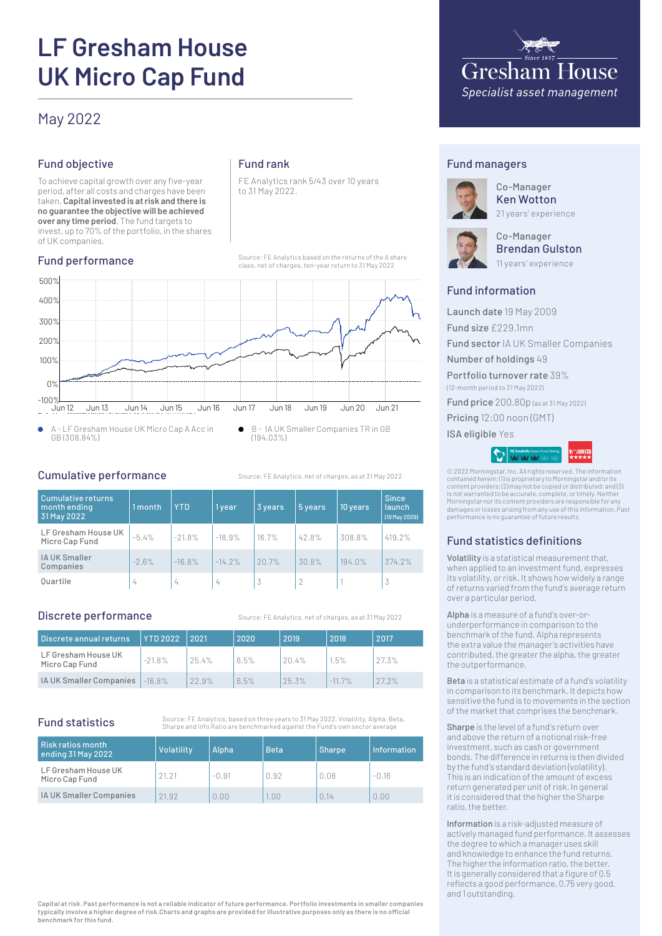# **LF Gresham House UK Micro Cap Fund**

# May 2022

# Fund objective

To achieve capital growth over any five-year period, after all costs and charges have been taken. **Capital invested is at risk and there is no guarantee the objective will be achieved over any time period**. The fund targets to invest, up to 70% of the portfolio, in the shares of UK companies.

# Fund performance

### Fund rank

FE Analytics rank 5/43 over 10 years to 31 May 2022.

Source: FE Analytics based on the returns of the A share class, net of charges, ten-year return to 31 May 2022



A - LF Gresham House UK Micro Cap A Acc in  $\bullet$  B - IA UK Smaller Companies TR in GB ISA eligible Yes  $\bullet$ GB (308.84%)

B - IA UK Smaller Companies TR in GB (194.03%)

Source: FE Analytics, net of charges, as at 31 May 2022

#### Cumulative performance

| Cumulative returns<br>month ending<br>31 May 2022 | 1 month  | <b>YTD</b> | 1year    | $3$ years | 5 years | 10 years | <b>Since</b><br>launch<br>(19 May 2009) |
|---------------------------------------------------|----------|------------|----------|-----------|---------|----------|-----------------------------------------|
| LF Gresham House UK<br>Micro Cap Fund             | $-5.4\%$ | $-21.8%$   | $-18.9%$ | 16.7%     | 42.8%   | 308.8%   | 419.2%                                  |
| <b>IA UK Smaller</b><br>Companies                 | $-2.6%$  | $-16.8%$   | $-14.2%$ | 20.7%     | 30.8%   | 194.0%   | 374.2%                                  |
| Quartile                                          | 4        | 4          | 4        | 3         |         |          | 3                                       |

#### Discrete performance

Source: FE Analytics, net of charges, as at 31 May 2022

| Discrete annual returns               | <b>YTD 2022</b> | 2021     | 2020 | 2019  | 2018      | 2017  |
|---------------------------------------|-----------------|----------|------|-------|-----------|-------|
| LF Gresham House UK<br>Micro Cap Fund | $-21.8%$        | $25.4\%$ | 6.5% | 20.4% | 1.5%      | 27.3% |
| IA UK Smaller Companies               | $-16.8%$        | 22.9%    | 6.5% | 25.3% | $-11.7\%$ | 27.2% |

# Fund statistics

Source: FE Analytics, based on three years to 31 May 2022. Volatility, Alpha, Beta, Sharpe and Info Ratio are benchmarked against the Fund's own sector average

| Risk ratios month<br>ending 31 May 2022 | Volatility | Alpha   | <b>Beta</b> | <b>Sharpe</b> | Information |
|-----------------------------------------|------------|---------|-------------|---------------|-------------|
| LF Gresham House UK<br>Micro Cap Fund   | 21.21      | $-0.91$ | 0.92        | 0.08          | $-0.16$     |
| IA UK Smaller Companies                 | 21.92      | 0.00    | .00.        | n 14          | 0.00        |



# Fund managers



Co-Manager Ken Wotton 21 years' experience



Co-Manager Brendan Gulston 11 years' experience

# Fund information

Launch date 19 May 2009 Fund size £229.1mn Fund sector IA UK Smaller Companies Number of holdings 49 Portfolio turnover rate 39% (12-month period to 31 May 2022) Fund price 200.80p (as at 31 May 2022) Pricing 12:00 noon (GMT)



© 2022 Morningstar, Inc. All rights reserved. The information contained herein: (1) is proprietary to Morningstar and/or its content providers; (2) may not be copied or distributed; and (3) is not warranted to be accurate, complete, or timely. Neither Morningstar nor its content providers are responsible for any damages or losses arising from any use of this information. Past performance is no guarantee of future results.

# Fund statistics definitions

Volatility is a statistical measurement that, when applied to an investment fund, expresses its volatility, or risk. It shows how widely a range of returns varied from the fund's average return over a particular period.

Alpha is a measure of a fund's over-orunderperformance in comparison to the benchmark of the fund. Alpha represents the extra value the manager's activities have contributed, the greater the alpha, the greater the outperformance.

Beta is a statistical estimate of a fund's volatility in comparison to its benchmark. It depicts how sensitive the fund is to movements in the section of the market that comprises the benchmark.

Sharpe is the level of a fund's return over and above the return of a notional risk-free investment, such as cash or government bonds. The difference in returns is then divided by the fund's standard deviation (volatility). This is an indication of the amount of excess return generated per unit of risk. In general it is considered that the higher the Sharpe ratio, the better.

Information is a risk-adjusted measure of actively managed fund performance. It assesses the degree to which a manager uses skill and knowledge to enhance the fund returns. The higher the information ratio, the better. It is generally considered that a figure of 0.5 reflects a good performance, 0.75 very good, and 1 outstanding.

**Capital at risk. Past performance is not a reliable indicator of future performance. Portfolio investments in smaller companies typically involve a higher degree of risk.Charts and graphs are provided for illustrative purposes only as there is no official benchmark for this fund.**